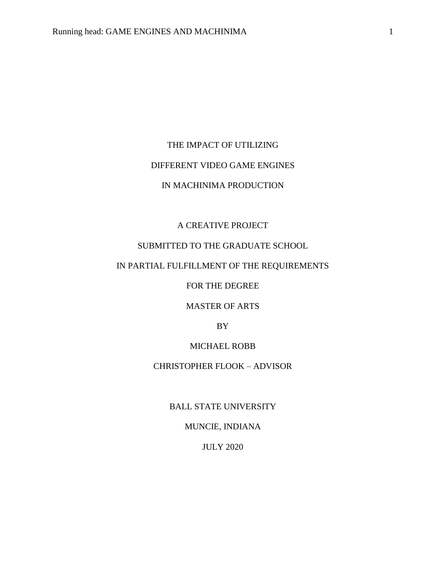## THE IMPACT OF UTILIZING

# DIFFERENT VIDEO GAME ENGINES

# IN MACHINIMA PRODUCTION

## A CREATIVE PROJECT

# SUBMITTED TO THE GRADUATE SCHOOL

## IN PARTIAL FULFILLMENT OF THE REQUIREMENTS

FOR THE DEGREE

MASTER OF ARTS

BY

## MICHAEL ROBB

# CHRISTOPHER FLOOK – ADVISOR

BALL STATE UNIVERSITY

# MUNCIE, INDIANA

JULY 2020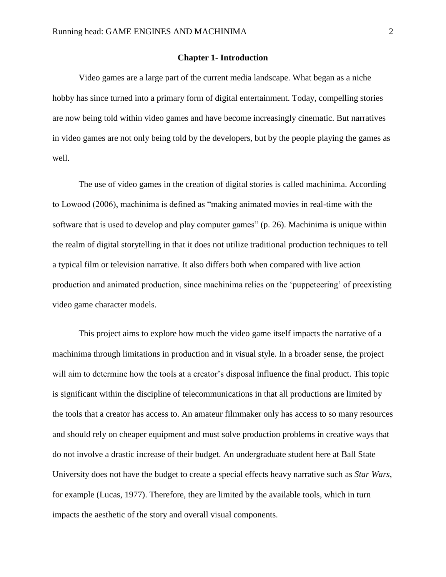#### **Chapter 1- Introduction**

Video games are a large part of the current media landscape. What began as a niche hobby has since turned into a primary form of digital entertainment. Today, compelling stories are now being told within video games and have become increasingly cinematic. But narratives in video games are not only being told by the developers, but by the people playing the games as well.

The use of video games in the creation of digital stories is called machinima. According to Lowood (2006), machinima is defined as "making animated movies in real-time with the software that is used to develop and play computer games" (p. 26). Machinima is unique within the realm of digital storytelling in that it does not utilize traditional production techniques to tell a typical film or television narrative. It also differs both when compared with live action production and animated production, since machinima relies on the 'puppeteering' of preexisting video game character models.

This project aims to explore how much the video game itself impacts the narrative of a machinima through limitations in production and in visual style. In a broader sense, the project will aim to determine how the tools at a creator's disposal influence the final product. This topic is significant within the discipline of telecommunications in that all productions are limited by the tools that a creator has access to. An amateur filmmaker only has access to so many resources and should rely on cheaper equipment and must solve production problems in creative ways that do not involve a drastic increase of their budget. An undergraduate student here at Ball State University does not have the budget to create a special effects heavy narrative such as *Star Wars*, for example (Lucas, 1977). Therefore, they are limited by the available tools, which in turn impacts the aesthetic of the story and overall visual components.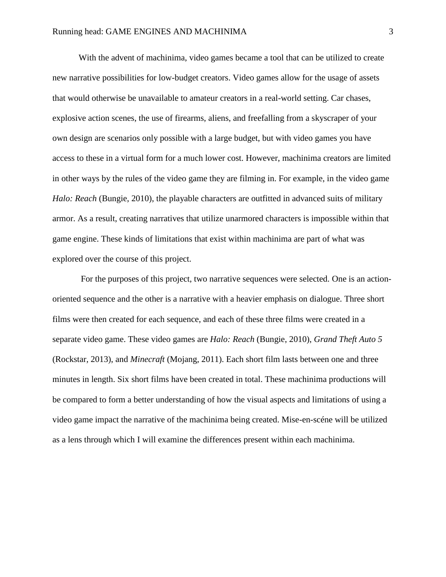With the advent of machinima, video games became a tool that can be utilized to create new narrative possibilities for low-budget creators. Video games allow for the usage of assets that would otherwise be unavailable to amateur creators in a real-world setting. Car chases, explosive action scenes, the use of firearms, aliens, and freefalling from a skyscraper of your own design are scenarios only possible with a large budget, but with video games you have access to these in a virtual form for a much lower cost. However, machinima creators are limited in other ways by the rules of the video game they are filming in. For example, in the video game *Halo: Reach* (Bungie, 2010), the playable characters are outfitted in advanced suits of military armor. As a result, creating narratives that utilize unarmored characters is impossible within that game engine. These kinds of limitations that exist within machinima are part of what was explored over the course of this project.

For the purposes of this project, two narrative sequences were selected. One is an actionoriented sequence and the other is a narrative with a heavier emphasis on dialogue. Three short films were then created for each sequence, and each of these three films were created in a separate video game. These video games are *Halo: Reach* (Bungie, 2010), *Grand Theft Auto 5*  (Rockstar, 2013), and *Minecraft* (Mojang, 2011). Each short film lasts between one and three minutes in length. Six short films have been created in total. These machinima productions will be compared to form a better understanding of how the visual aspects and limitations of using a video game impact the narrative of the machinima being created. Mise-en-scéne will be utilized as a lens through which I will examine the differences present within each machinima.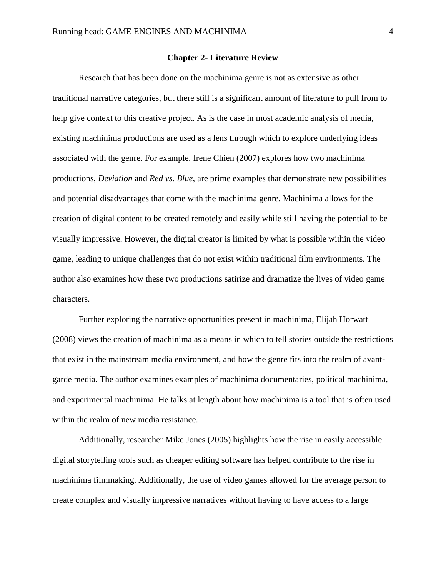#### **Chapter 2- Literature Review**

Research that has been done on the machinima genre is not as extensive as other traditional narrative categories, but there still is a significant amount of literature to pull from to help give context to this creative project. As is the case in most academic analysis of media, existing machinima productions are used as a lens through which to explore underlying ideas associated with the genre. For example, Irene Chien (2007) explores how two machinima productions, *Deviation* and *Red vs. Blue*, are prime examples that demonstrate new possibilities and potential disadvantages that come with the machinima genre. Machinima allows for the creation of digital content to be created remotely and easily while still having the potential to be visually impressive. However, the digital creator is limited by what is possible within the video game, leading to unique challenges that do not exist within traditional film environments. The author also examines how these two productions satirize and dramatize the lives of video game characters.

Further exploring the narrative opportunities present in machinima, Elijah Horwatt (2008) views the creation of machinima as a means in which to tell stories outside the restrictions that exist in the mainstream media environment, and how the genre fits into the realm of avantgarde media. The author examines examples of machinima documentaries, political machinima, and experimental machinima. He talks at length about how machinima is a tool that is often used within the realm of new media resistance.

Additionally, researcher Mike Jones (2005) highlights how the rise in easily accessible digital storytelling tools such as cheaper editing software has helped contribute to the rise in machinima filmmaking. Additionally, the use of video games allowed for the average person to create complex and visually impressive narratives without having to have access to a large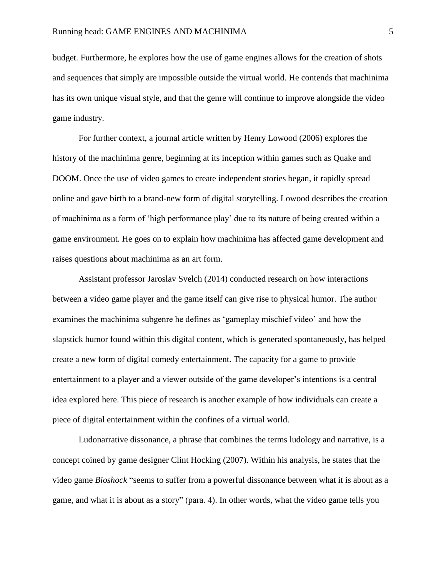budget. Furthermore, he explores how the use of game engines allows for the creation of shots and sequences that simply are impossible outside the virtual world. He contends that machinima has its own unique visual style, and that the genre will continue to improve alongside the video game industry.

For further context, a journal article written by Henry Lowood (2006) explores the history of the machinima genre, beginning at its inception within games such as Quake and DOOM. Once the use of video games to create independent stories began, it rapidly spread online and gave birth to a brand-new form of digital storytelling. Lowood describes the creation of machinima as a form of 'high performance play' due to its nature of being created within a game environment. He goes on to explain how machinima has affected game development and raises questions about machinima as an art form.

Assistant professor Jaroslav Svelch (2014) conducted research on how interactions between a video game player and the game itself can give rise to physical humor. The author examines the machinima subgenre he defines as 'gameplay mischief video' and how the slapstick humor found within this digital content, which is generated spontaneously, has helped create a new form of digital comedy entertainment. The capacity for a game to provide entertainment to a player and a viewer outside of the game developer's intentions is a central idea explored here. This piece of research is another example of how individuals can create a piece of digital entertainment within the confines of a virtual world.

Ludonarrative dissonance, a phrase that combines the terms ludology and narrative, is a concept coined by game designer Clint Hocking (2007). Within his analysis, he states that the video game *Bioshock* "seems to suffer from a powerful dissonance between what it is about as a game, and what it is about as a story" (para. 4). In other words, what the video game tells you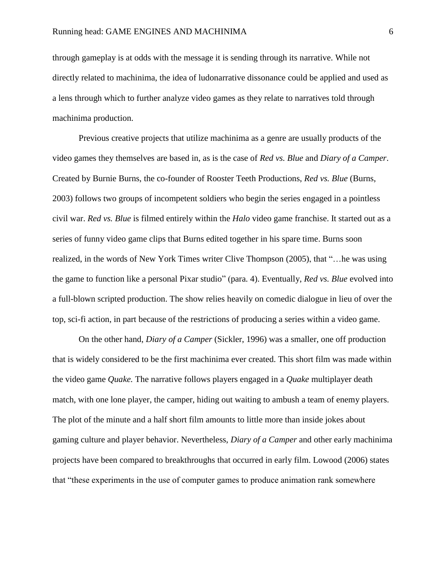through gameplay is at odds with the message it is sending through its narrative. While not directly related to machinima, the idea of ludonarrative dissonance could be applied and used as a lens through which to further analyze video games as they relate to narratives told through machinima production.

Previous creative projects that utilize machinima as a genre are usually products of the video games they themselves are based in, as is the case of *Red vs. Blue* and *Diary of a Camper*. Created by Burnie Burns, the co-founder of Rooster Teeth Productions, *Red vs. Blue* (Burns, 2003) follows two groups of incompetent soldiers who begin the series engaged in a pointless civil war. *Red vs. Blue* is filmed entirely within the *Halo* video game franchise. It started out as a series of funny video game clips that Burns edited together in his spare time. Burns soon realized, in the words of New York Times writer Clive Thompson (2005), that "…he was using the game to function like a personal Pixar studio" (para. 4). Eventually, *Red vs. Blue* evolved into a full-blown scripted production. The show relies heavily on comedic dialogue in lieu of over the top, sci-fi action, in part because of the restrictions of producing a series within a video game.

On the other hand, *Diary of a Camper* (Sickler, 1996) was a smaller, one off production that is widely considered to be the first machinima ever created. This short film was made within the video game *Quake.* The narrative follows players engaged in a *Quake* multiplayer death match, with one lone player, the camper, hiding out waiting to ambush a team of enemy players. The plot of the minute and a half short film amounts to little more than inside jokes about gaming culture and player behavior. Nevertheless, *Diary of a Camper* and other early machinima projects have been compared to breakthroughs that occurred in early film. Lowood (2006) states that "these experiments in the use of computer games to produce animation rank somewhere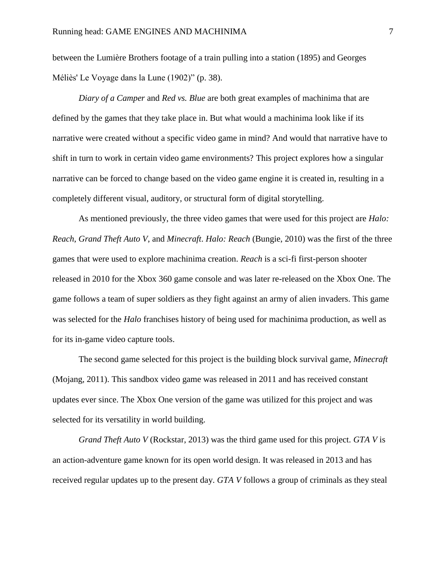between the Lumière Brothers footage of a train pulling into a station (1895) and Georges Méliès' Le Voyage dans la Lune (1902)" (p. 38).

*Diary of a Camper* and *Red vs. Blue* are both great examples of machinima that are defined by the games that they take place in. But what would a machinima look like if its narrative were created without a specific video game in mind? And would that narrative have to shift in turn to work in certain video game environments? This project explores how a singular narrative can be forced to change based on the video game engine it is created in, resulting in a completely different visual, auditory, or structural form of digital storytelling.

As mentioned previously, the three video games that were used for this project are *Halo: Reach*, *Grand Theft Auto V*, and *Minecraft*. *Halo: Reach* (Bungie, 2010) was the first of the three games that were used to explore machinima creation. *Reach* is a sci-fi first-person shooter released in 2010 for the Xbox 360 game console and was later re-released on the Xbox One. The game follows a team of super soldiers as they fight against an army of alien invaders. This game was selected for the *Halo* franchises history of being used for machinima production, as well as for its in-game video capture tools.

The second game selected for this project is the building block survival game, *Minecraft* (Mojang, 2011). This sandbox video game was released in 2011 and has received constant updates ever since. The Xbox One version of the game was utilized for this project and was selected for its versatility in world building.

*Grand Theft Auto V* (Rockstar, 2013) was the third game used for this project. *GTA V* is an action-adventure game known for its open world design. It was released in 2013 and has received regular updates up to the present day. *GTA V* follows a group of criminals as they steal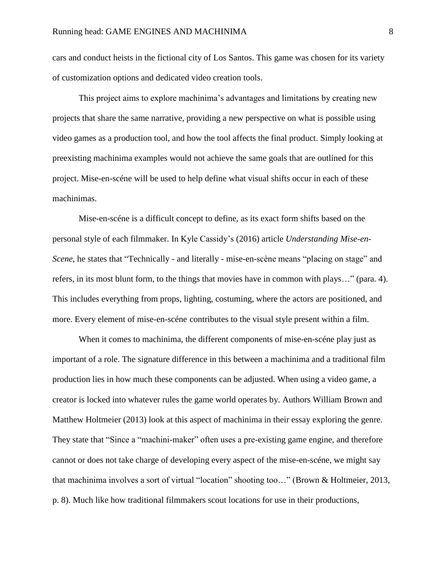cars and conduct heists in the fictional city of Los Santos. This game was chosen for its variety of customization options and dedicated video creation tools.

This project aims to explore machinima's advantages and limitations by creating new projects that share the same narrative, providing a new perspective on what is possible using video games as a production tool, and how the tool affects the final product. Simply looking at preexisting machinima examples would not achieve the same goals that are outlined for this project. Mise-en-scéne will be used to help define what visual shifts occur in each of these machinimas.

Mise-en-scéne is a difficult concept to define, as its exact form shifts based on the personal style of each filmmaker. In Kyle Cassidy's (2016) article *Understanding Mise-en-Scene*, he states that "Technically - and literally - mise-en-scène means "placing on stage" and refers, in its most blunt form, to the things that movies have in common with plays…" (para. 4). This includes everything from props, lighting, costuming, where the actors are positioned, and more. Every element of mise-en-scéne contributes to the visual style present within a film.

When it comes to machinima, the different components of mise-en-scéne play just as important of a role. The signature difference in this between a machinima and a traditional film production lies in how much these components can be adjusted. When using a video game, a creator is locked into whatever rules the game world operates by. Authors William Brown and Matthew Holtmeier (2013) look at this aspect of machinima in their essay exploring the genre. They state that "Since a "machini-maker" often uses a pre-existing game engine, and therefore cannot or does not take charge of developing every aspect of the mise-en-scéne, we might say that machinima involves a sort of virtual "location" shooting too…" (Brown & Holtmeier, 2013, p. 8). Much like how traditional filmmakers scout locations for use in their productions,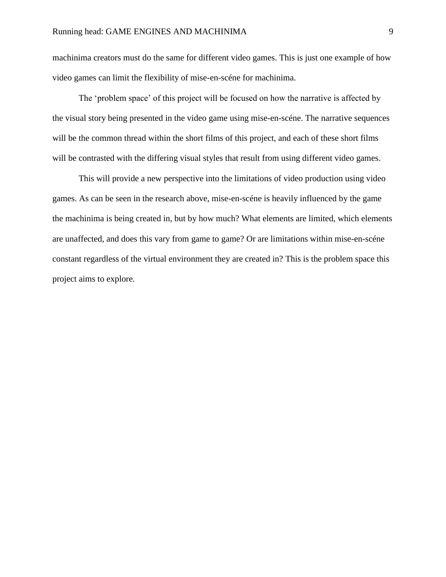machinima creators must do the same for different video games. This is just one example of how video games can limit the flexibility of mise-en-scéne for machinima.

The 'problem space' of this project will be focused on how the narrative is affected by the visual story being presented in the video game using mise-en-scéne. The narrative sequences will be the common thread within the short films of this project, and each of these short films will be contrasted with the differing visual styles that result from using different video games.

This will provide a new perspective into the limitations of video production using video games. As can be seen in the research above, mise-en-scéne is heavily influenced by the game the machinima is being created in, but by how much? What elements are limited, which elements are unaffected, and does this vary from game to game? Or are limitations within mise-en-scéne constant regardless of the virtual environment they are created in? This is the problem space this project aims to explore.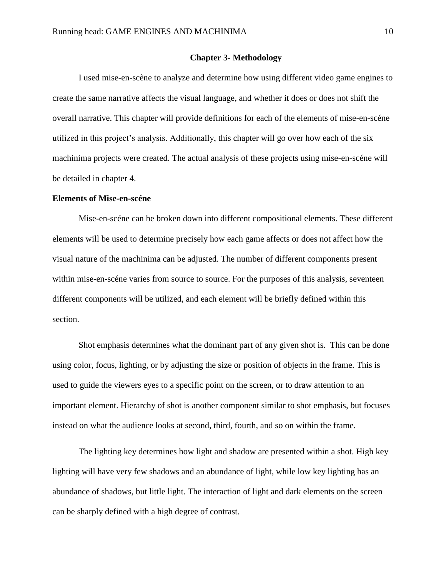#### **Chapter 3- Methodology**

I used mise-en-scène to analyze and determine how using different video game engines to create the same narrative affects the visual language, and whether it does or does not shift the overall narrative. This chapter will provide definitions for each of the elements of mise-en-scéne utilized in this project's analysis. Additionally, this chapter will go over how each of the six machinima projects were created. The actual analysis of these projects using mise-en-scéne will be detailed in chapter 4.

#### **Elements of Mise-en-scéne**

Mise-en-scéne can be broken down into different compositional elements. These different elements will be used to determine precisely how each game affects or does not affect how the visual nature of the machinima can be adjusted. The number of different components present within mise-en-scéne varies from source to source. For the purposes of this analysis, seventeen different components will be utilized, and each element will be briefly defined within this section.

Shot emphasis determines what the dominant part of any given shot is. This can be done using color, focus, lighting, or by adjusting the size or position of objects in the frame. This is used to guide the viewers eyes to a specific point on the screen, or to draw attention to an important element. Hierarchy of shot is another component similar to shot emphasis, but focuses instead on what the audience looks at second, third, fourth, and so on within the frame.

The lighting key determines how light and shadow are presented within a shot. High key lighting will have very few shadows and an abundance of light, while low key lighting has an abundance of shadows, but little light. The interaction of light and dark elements on the screen can be sharply defined with a high degree of contrast.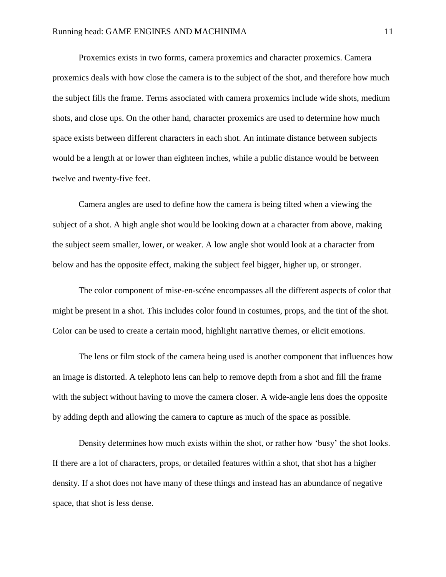Proxemics exists in two forms, camera proxemics and character proxemics. Camera proxemics deals with how close the camera is to the subject of the shot, and therefore how much the subject fills the frame. Terms associated with camera proxemics include wide shots, medium shots, and close ups. On the other hand, character proxemics are used to determine how much space exists between different characters in each shot. An intimate distance between subjects would be a length at or lower than eighteen inches, while a public distance would be between twelve and twenty-five feet.

Camera angles are used to define how the camera is being tilted when a viewing the subject of a shot. A high angle shot would be looking down at a character from above, making the subject seem smaller, lower, or weaker. A low angle shot would look at a character from below and has the opposite effect, making the subject feel bigger, higher up, or stronger.

The color component of mise-en-scéne encompasses all the different aspects of color that might be present in a shot. This includes color found in costumes, props, and the tint of the shot. Color can be used to create a certain mood, highlight narrative themes, or elicit emotions.

The lens or film stock of the camera being used is another component that influences how an image is distorted. A telephoto lens can help to remove depth from a shot and fill the frame with the subject without having to move the camera closer. A wide-angle lens does the opposite by adding depth and allowing the camera to capture as much of the space as possible.

Density determines how much exists within the shot, or rather how 'busy' the shot looks. If there are a lot of characters, props, or detailed features within a shot, that shot has a higher density. If a shot does not have many of these things and instead has an abundance of negative space, that shot is less dense.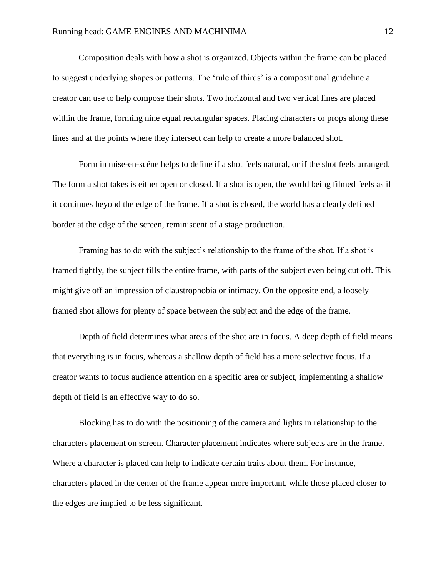Composition deals with how a shot is organized. Objects within the frame can be placed to suggest underlying shapes or patterns. The 'rule of thirds' is a compositional guideline a creator can use to help compose their shots. Two horizontal and two vertical lines are placed within the frame, forming nine equal rectangular spaces. Placing characters or props along these lines and at the points where they intersect can help to create a more balanced shot.

Form in mise-en-scéne helps to define if a shot feels natural, or if the shot feels arranged. The form a shot takes is either open or closed. If a shot is open, the world being filmed feels as if it continues beyond the edge of the frame. If a shot is closed, the world has a clearly defined border at the edge of the screen, reminiscent of a stage production.

Framing has to do with the subject's relationship to the frame of the shot. If a shot is framed tightly, the subject fills the entire frame, with parts of the subject even being cut off. This might give off an impression of claustrophobia or intimacy. On the opposite end, a loosely framed shot allows for plenty of space between the subject and the edge of the frame.

Depth of field determines what areas of the shot are in focus. A deep depth of field means that everything is in focus, whereas a shallow depth of field has a more selective focus. If a creator wants to focus audience attention on a specific area or subject, implementing a shallow depth of field is an effective way to do so.

Blocking has to do with the positioning of the camera and lights in relationship to the characters placement on screen. Character placement indicates where subjects are in the frame. Where a character is placed can help to indicate certain traits about them. For instance, characters placed in the center of the frame appear more important, while those placed closer to the edges are implied to be less significant.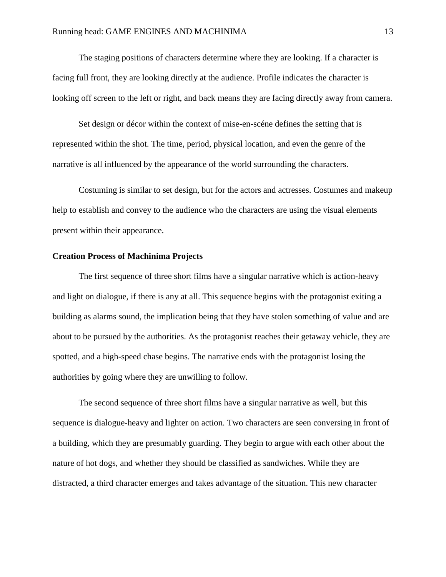The staging positions of characters determine where they are looking. If a character is facing full front, they are looking directly at the audience. Profile indicates the character is looking off screen to the left or right, and back means they are facing directly away from camera.

Set design or décor within the context of mise-en-scéne defines the setting that is represented within the shot. The time, period, physical location, and even the genre of the narrative is all influenced by the appearance of the world surrounding the characters.

Costuming is similar to set design, but for the actors and actresses. Costumes and makeup help to establish and convey to the audience who the characters are using the visual elements present within their appearance.

#### **Creation Process of Machinima Projects**

The first sequence of three short films have a singular narrative which is action-heavy and light on dialogue, if there is any at all. This sequence begins with the protagonist exiting a building as alarms sound, the implication being that they have stolen something of value and are about to be pursued by the authorities. As the protagonist reaches their getaway vehicle, they are spotted, and a high-speed chase begins. The narrative ends with the protagonist losing the authorities by going where they are unwilling to follow.

The second sequence of three short films have a singular narrative as well, but this sequence is dialogue-heavy and lighter on action. Two characters are seen conversing in front of a building, which they are presumably guarding. They begin to argue with each other about the nature of hot dogs, and whether they should be classified as sandwiches. While they are distracted, a third character emerges and takes advantage of the situation. This new character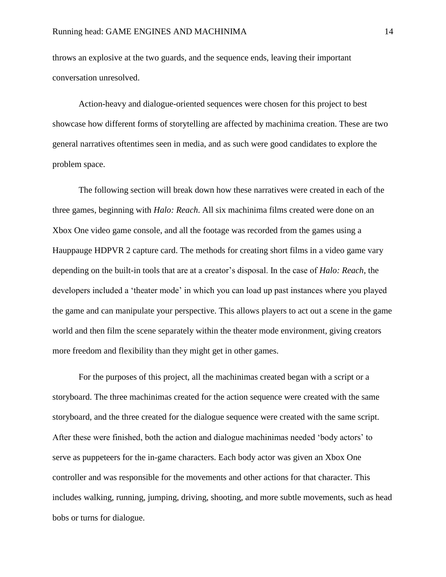throws an explosive at the two guards, and the sequence ends, leaving their important conversation unresolved.

Action-heavy and dialogue-oriented sequences were chosen for this project to best showcase how different forms of storytelling are affected by machinima creation. These are two general narratives oftentimes seen in media, and as such were good candidates to explore the problem space.

The following section will break down how these narratives were created in each of the three games, beginning with *Halo: Reach*. All six machinima films created were done on an Xbox One video game console, and all the footage was recorded from the games using a Hauppauge HDPVR 2 capture card. The methods for creating short films in a video game vary depending on the built-in tools that are at a creator's disposal. In the case of *Halo: Reach*, the developers included a 'theater mode' in which you can load up past instances where you played the game and can manipulate your perspective. This allows players to act out a scene in the game world and then film the scene separately within the theater mode environment, giving creators more freedom and flexibility than they might get in other games.

For the purposes of this project, all the machinimas created began with a script or a storyboard. The three machinimas created for the action sequence were created with the same storyboard, and the three created for the dialogue sequence were created with the same script. After these were finished, both the action and dialogue machinimas needed 'body actors' to serve as puppeteers for the in-game characters. Each body actor was given an Xbox One controller and was responsible for the movements and other actions for that character. This includes walking, running, jumping, driving, shooting, and more subtle movements, such as head bobs or turns for dialogue.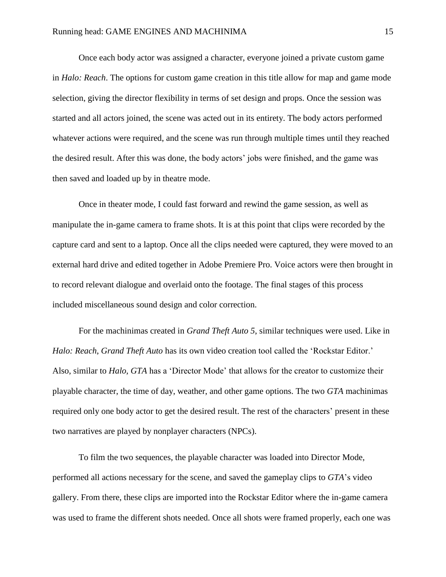Once each body actor was assigned a character, everyone joined a private custom game in *Halo: Reach*. The options for custom game creation in this title allow for map and game mode selection, giving the director flexibility in terms of set design and props. Once the session was started and all actors joined, the scene was acted out in its entirety. The body actors performed whatever actions were required, and the scene was run through multiple times until they reached the desired result. After this was done, the body actors' jobs were finished, and the game was then saved and loaded up by in theatre mode.

Once in theater mode, I could fast forward and rewind the game session, as well as manipulate the in-game camera to frame shots. It is at this point that clips were recorded by the capture card and sent to a laptop. Once all the clips needed were captured, they were moved to an external hard drive and edited together in Adobe Premiere Pro. Voice actors were then brought in to record relevant dialogue and overlaid onto the footage. The final stages of this process included miscellaneous sound design and color correction.

For the machinimas created in *Grand Theft Auto 5*, similar techniques were used. Like in *Halo: Reach*, *Grand Theft Auto* has its own video creation tool called the 'Rockstar Editor.' Also, similar to *Halo*, *GTA* has a 'Director Mode' that allows for the creator to customize their playable character, the time of day, weather, and other game options. The two *GTA* machinimas required only one body actor to get the desired result. The rest of the characters' present in these two narratives are played by nonplayer characters (NPCs).

To film the two sequences, the playable character was loaded into Director Mode, performed all actions necessary for the scene, and saved the gameplay clips to *GTA*'s video gallery. From there, these clips are imported into the Rockstar Editor where the in-game camera was used to frame the different shots needed. Once all shots were framed properly, each one was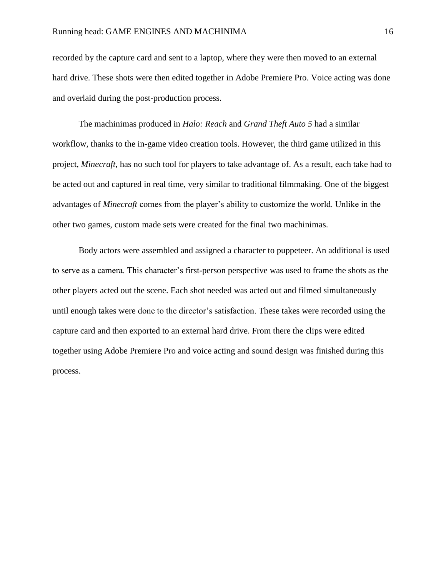recorded by the capture card and sent to a laptop, where they were then moved to an external hard drive. These shots were then edited together in Adobe Premiere Pro. Voice acting was done and overlaid during the post-production process.

The machinimas produced in *Halo: Reach* and *Grand Theft Auto 5* had a similar workflow, thanks to the in-game video creation tools. However, the third game utilized in this project, *Minecraft*, has no such tool for players to take advantage of. As a result, each take had to be acted out and captured in real time, very similar to traditional filmmaking. One of the biggest advantages of *Minecraft* comes from the player's ability to customize the world. Unlike in the other two games, custom made sets were created for the final two machinimas.

Body actors were assembled and assigned a character to puppeteer. An additional is used to serve as a camera. This character's first-person perspective was used to frame the shots as the other players acted out the scene. Each shot needed was acted out and filmed simultaneously until enough takes were done to the director's satisfaction. These takes were recorded using the capture card and then exported to an external hard drive. From there the clips were edited together using Adobe Premiere Pro and voice acting and sound design was finished during this process.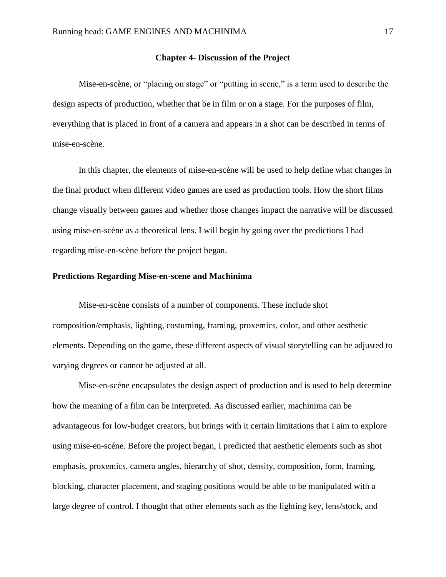#### **Chapter 4- Discussion of the Project**

Mise-en-scène, or "placing on stage" or "putting in scene," is a term used to describe the design aspects of production, whether that be in film or on a stage. For the purposes of film, everything that is placed in front of a camera and appears in a shot can be described in terms of mise-en-scène.

In this chapter, the elements of mise-en-scène will be used to help define what changes in the final product when different video games are used as production tools. How the short films change visually between games and whether those changes impact the narrative will be discussed using mise-en-scène as a theoretical lens. I will begin by going over the predictions I had regarding mise-en-scène before the project began.

## **Predictions Regarding Mise-en-scene and Machinima**

Mise-en-scène consists of a number of components. These include shot composition/emphasis, lighting, costuming, framing, proxemics, color, and other aesthetic elements. Depending on the game, these different aspects of visual storytelling can be adjusted to varying degrees or cannot be adjusted at all.

Mise-en-scéne encapsulates the design aspect of production and is used to help determine how the meaning of a film can be interpreted. As discussed earlier, machinima can be advantageous for low-budget creators, but brings with it certain limitations that I aim to explore using mise-en-scéne. Before the project began, I predicted that aesthetic elements such as shot emphasis, proxemics, camera angles, hierarchy of shot, density, composition, form, framing, blocking, character placement, and staging positions would be able to be manipulated with a large degree of control. I thought that other elements such as the lighting key, lens/stock, and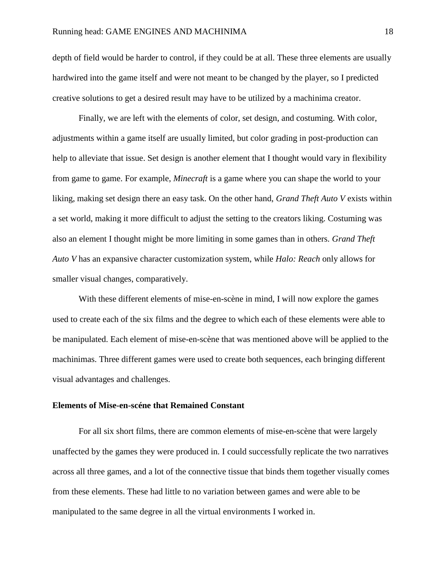depth of field would be harder to control, if they could be at all. These three elements are usually hardwired into the game itself and were not meant to be changed by the player, so I predicted creative solutions to get a desired result may have to be utilized by a machinima creator.

Finally, we are left with the elements of color, set design, and costuming. With color, adjustments within a game itself are usually limited, but color grading in post-production can help to alleviate that issue. Set design is another element that I thought would vary in flexibility from game to game. For example, *Minecraft* is a game where you can shape the world to your liking, making set design there an easy task. On the other hand, *Grand Theft Auto V* exists within a set world, making it more difficult to adjust the setting to the creators liking. Costuming was also an element I thought might be more limiting in some games than in others. *Grand Theft Auto V* has an expansive character customization system, while *Halo: Reach* only allows for smaller visual changes, comparatively.

With these different elements of mise-en-scène in mind, I will now explore the games used to create each of the six films and the degree to which each of these elements were able to be manipulated. Each element of mise-en-scène that was mentioned above will be applied to the machinimas. Three different games were used to create both sequences, each bringing different visual advantages and challenges.

### **Elements of Mise-en-scéne that Remained Constant**

For all six short films, there are common elements of mise-en-scène that were largely unaffected by the games they were produced in. I could successfully replicate the two narratives across all three games, and a lot of the connective tissue that binds them together visually comes from these elements. These had little to no variation between games and were able to be manipulated to the same degree in all the virtual environments I worked in.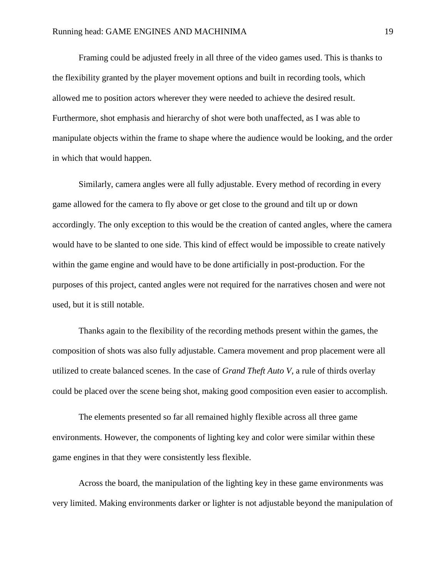Framing could be adjusted freely in all three of the video games used. This is thanks to the flexibility granted by the player movement options and built in recording tools, which allowed me to position actors wherever they were needed to achieve the desired result. Furthermore, shot emphasis and hierarchy of shot were both unaffected, as I was able to manipulate objects within the frame to shape where the audience would be looking, and the order in which that would happen.

Similarly, camera angles were all fully adjustable. Every method of recording in every game allowed for the camera to fly above or get close to the ground and tilt up or down accordingly. The only exception to this would be the creation of canted angles, where the camera would have to be slanted to one side. This kind of effect would be impossible to create natively within the game engine and would have to be done artificially in post-production. For the purposes of this project, canted angles were not required for the narratives chosen and were not used, but it is still notable.

Thanks again to the flexibility of the recording methods present within the games, the composition of shots was also fully adjustable. Camera movement and prop placement were all utilized to create balanced scenes. In the case of *Grand Theft Auto V*, a rule of thirds overlay could be placed over the scene being shot, making good composition even easier to accomplish.

The elements presented so far all remained highly flexible across all three game environments. However, the components of lighting key and color were similar within these game engines in that they were consistently less flexible.

Across the board, the manipulation of the lighting key in these game environments was very limited. Making environments darker or lighter is not adjustable beyond the manipulation of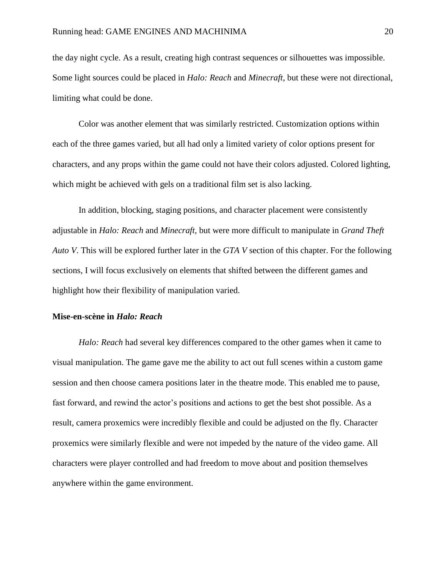the day night cycle. As a result, creating high contrast sequences or silhouettes was impossible. Some light sources could be placed in *Halo: Reach* and *Minecraft*, but these were not directional, limiting what could be done.

Color was another element that was similarly restricted. Customization options within each of the three games varied, but all had only a limited variety of color options present for characters, and any props within the game could not have their colors adjusted. Colored lighting, which might be achieved with gels on a traditional film set is also lacking.

In addition, blocking, staging positions, and character placement were consistently adjustable in *Halo: Reach* and *Minecraft*, but were more difficult to manipulate in *Grand Theft Auto V*. This will be explored further later in the *GTA V* section of this chapter. For the following sections, I will focus exclusively on elements that shifted between the different games and highlight how their flexibility of manipulation varied.

### **Mise-en-scène in** *Halo: Reach*

*Halo: Reach* had several key differences compared to the other games when it came to visual manipulation. The game gave me the ability to act out full scenes within a custom game session and then choose camera positions later in the theatre mode. This enabled me to pause, fast forward, and rewind the actor's positions and actions to get the best shot possible. As a result, camera proxemics were incredibly flexible and could be adjusted on the fly. Character proxemics were similarly flexible and were not impeded by the nature of the video game. All characters were player controlled and had freedom to move about and position themselves anywhere within the game environment.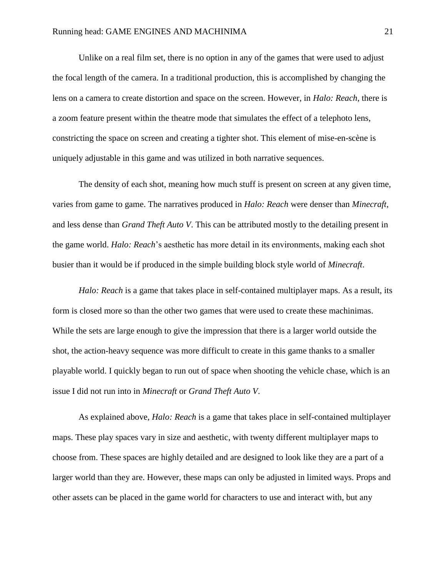Unlike on a real film set, there is no option in any of the games that were used to adjust the focal length of the camera. In a traditional production, this is accomplished by changing the lens on a camera to create distortion and space on the screen. However, in *Halo: Reach*, there is a zoom feature present within the theatre mode that simulates the effect of a telephoto lens, constricting the space on screen and creating a tighter shot. This element of mise-en-scène is uniquely adjustable in this game and was utilized in both narrative sequences.

The density of each shot, meaning how much stuff is present on screen at any given time, varies from game to game. The narratives produced in *Halo: Reach* were denser than *Minecraft*, and less dense than *Grand Theft Auto V*. This can be attributed mostly to the detailing present in the game world. *Halo: Reach*'s aesthetic has more detail in its environments, making each shot busier than it would be if produced in the simple building block style world of *Minecraft*.

*Halo: Reach* is a game that takes place in self-contained multiplayer maps. As a result, its form is closed more so than the other two games that were used to create these machinimas. While the sets are large enough to give the impression that there is a larger world outside the shot, the action-heavy sequence was more difficult to create in this game thanks to a smaller playable world. I quickly began to run out of space when shooting the vehicle chase, which is an issue I did not run into in *Minecraft* or *Grand Theft Auto V*.

As explained above, *Halo: Reach* is a game that takes place in self-contained multiplayer maps. These play spaces vary in size and aesthetic, with twenty different multiplayer maps to choose from. These spaces are highly detailed and are designed to look like they are a part of a larger world than they are. However, these maps can only be adjusted in limited ways. Props and other assets can be placed in the game world for characters to use and interact with, but any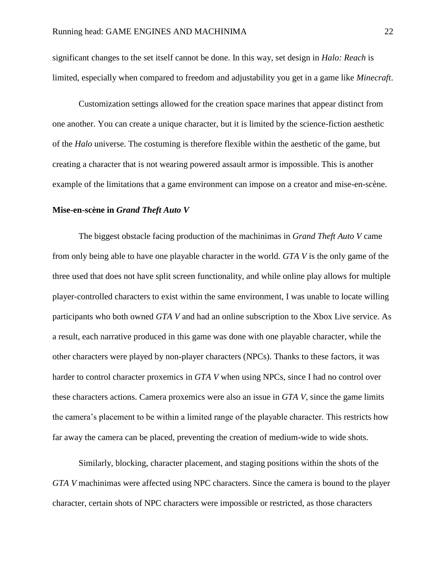significant changes to the set itself cannot be done. In this way, set design in *Halo: Reach* is limited, especially when compared to freedom and adjustability you get in a game like *Minecraft*.

Customization settings allowed for the creation space marines that appear distinct from one another. You can create a unique character, but it is limited by the science-fiction aesthetic of the *Halo* universe. The costuming is therefore flexible within the aesthetic of the game, but creating a character that is not wearing powered assault armor is impossible. This is another example of the limitations that a game environment can impose on a creator and mise-en-scène.

#### **Mise-en-scène in** *Grand Theft Auto V*

The biggest obstacle facing production of the machinimas in *Grand Theft Auto V* came from only being able to have one playable character in the world. *GTA V* is the only game of the three used that does not have split screen functionality, and while online play allows for multiple player-controlled characters to exist within the same environment, I was unable to locate willing participants who both owned *GTA V* and had an online subscription to the Xbox Live service. As a result, each narrative produced in this game was done with one playable character, while the other characters were played by non-player characters (NPCs). Thanks to these factors, it was harder to control character proxemics in *GTA V* when using NPCs, since I had no control over these characters actions. Camera proxemics were also an issue in *GTA V*, since the game limits the camera's placement to be within a limited range of the playable character. This restricts how far away the camera can be placed, preventing the creation of medium-wide to wide shots.

Similarly, blocking, character placement, and staging positions within the shots of the *GTA V* machinimas were affected using NPC characters. Since the camera is bound to the player character, certain shots of NPC characters were impossible or restricted, as those characters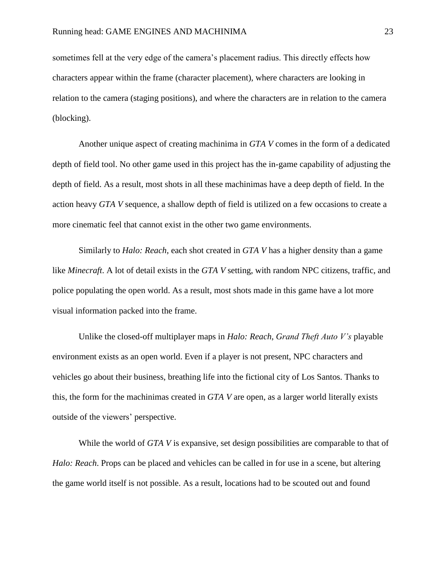sometimes fell at the very edge of the camera's placement radius. This directly effects how characters appear within the frame (character placement), where characters are looking in relation to the camera (staging positions), and where the characters are in relation to the camera (blocking).

Another unique aspect of creating machinima in *GTA V* comes in the form of a dedicated depth of field tool. No other game used in this project has the in-game capability of adjusting the depth of field. As a result, most shots in all these machinimas have a deep depth of field. In the action heavy *GTA V* sequence, a shallow depth of field is utilized on a few occasions to create a more cinematic feel that cannot exist in the other two game environments.

Similarly to *Halo: Reach*, each shot created in *GTA V* has a higher density than a game like *Minecraft*. A lot of detail exists in the *GTA V* setting, with random NPC citizens, traffic, and police populating the open world. As a result, most shots made in this game have a lot more visual information packed into the frame.

Unlike the closed-off multiplayer maps in *Halo: Reach*, *Grand Theft Auto V's* playable environment exists as an open world. Even if a player is not present, NPC characters and vehicles go about their business, breathing life into the fictional city of Los Santos. Thanks to this, the form for the machinimas created in *GTA V* are open, as a larger world literally exists outside of the viewers' perspective.

While the world of *GTA V* is expansive, set design possibilities are comparable to that of *Halo: Reach*. Props can be placed and vehicles can be called in for use in a scene, but altering the game world itself is not possible. As a result, locations had to be scouted out and found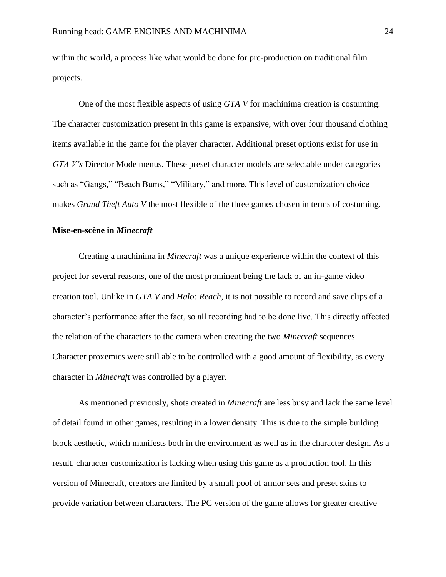within the world, a process like what would be done for pre-production on traditional film projects.

One of the most flexible aspects of using *GTA V* for machinima creation is costuming. The character customization present in this game is expansive, with over four thousand clothing items available in the game for the player character. Additional preset options exist for use in *GTA V's* Director Mode menus. These preset character models are selectable under categories such as "Gangs," "Beach Bums," "Military," and more. This level of customization choice makes *Grand Theft Auto V* the most flexible of the three games chosen in terms of costuming.

#### **Mise-en-scène in** *Minecraft*

Creating a machinima in *Minecraft* was a unique experience within the context of this project for several reasons, one of the most prominent being the lack of an in-game video creation tool. Unlike in *GTA V* and *Halo: Reach*, it is not possible to record and save clips of a character's performance after the fact, so all recording had to be done live. This directly affected the relation of the characters to the camera when creating the two *Minecraft* sequences. Character proxemics were still able to be controlled with a good amount of flexibility, as every character in *Minecraft* was controlled by a player.

As mentioned previously, shots created in *Minecraft* are less busy and lack the same level of detail found in other games, resulting in a lower density. This is due to the simple building block aesthetic, which manifests both in the environment as well as in the character design. As a result, character customization is lacking when using this game as a production tool. In this version of Minecraft, creators are limited by a small pool of armor sets and preset skins to provide variation between characters. The PC version of the game allows for greater creative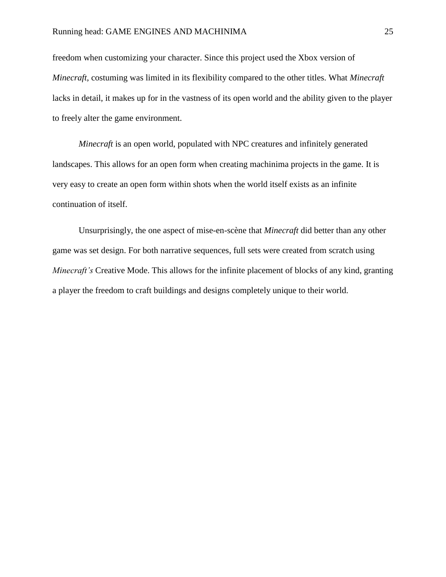freedom when customizing your character. Since this project used the Xbox version of *Minecraft*, costuming was limited in its flexibility compared to the other titles. What *Minecraft* lacks in detail, it makes up for in the vastness of its open world and the ability given to the player to freely alter the game environment.

*Minecraft* is an open world, populated with NPC creatures and infinitely generated landscapes. This allows for an open form when creating machinima projects in the game. It is very easy to create an open form within shots when the world itself exists as an infinite continuation of itself.

Unsurprisingly, the one aspect of mise-en-scène that *Minecraft* did better than any other game was set design. For both narrative sequences, full sets were created from scratch using *Minecraft's* Creative Mode. This allows for the infinite placement of blocks of any kind, granting a player the freedom to craft buildings and designs completely unique to their world.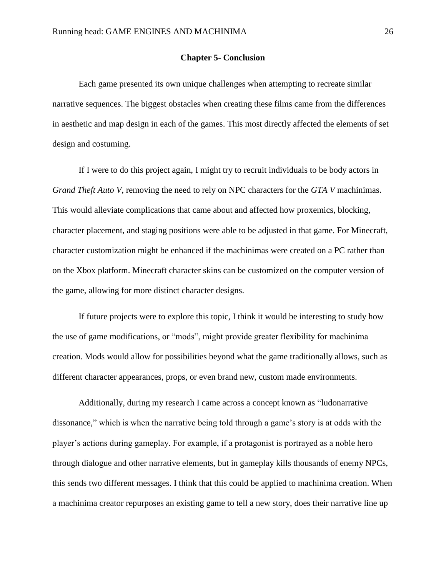### **Chapter 5- Conclusion**

Each game presented its own unique challenges when attempting to recreate similar narrative sequences. The biggest obstacles when creating these films came from the differences in aesthetic and map design in each of the games. This most directly affected the elements of set design and costuming.

If I were to do this project again, I might try to recruit individuals to be body actors in *Grand Theft Auto V*, removing the need to rely on NPC characters for the *GTA V* machinimas. This would alleviate complications that came about and affected how proxemics, blocking, character placement, and staging positions were able to be adjusted in that game. For Minecraft, character customization might be enhanced if the machinimas were created on a PC rather than on the Xbox platform. Minecraft character skins can be customized on the computer version of the game, allowing for more distinct character designs.

If future projects were to explore this topic, I think it would be interesting to study how the use of game modifications, or "mods", might provide greater flexibility for machinima creation. Mods would allow for possibilities beyond what the game traditionally allows, such as different character appearances, props, or even brand new, custom made environments.

Additionally, during my research I came across a concept known as "ludonarrative dissonance," which is when the narrative being told through a game's story is at odds with the player's actions during gameplay. For example, if a protagonist is portrayed as a noble hero through dialogue and other narrative elements, but in gameplay kills thousands of enemy NPCs, this sends two different messages. I think that this could be applied to machinima creation. When a machinima creator repurposes an existing game to tell a new story, does their narrative line up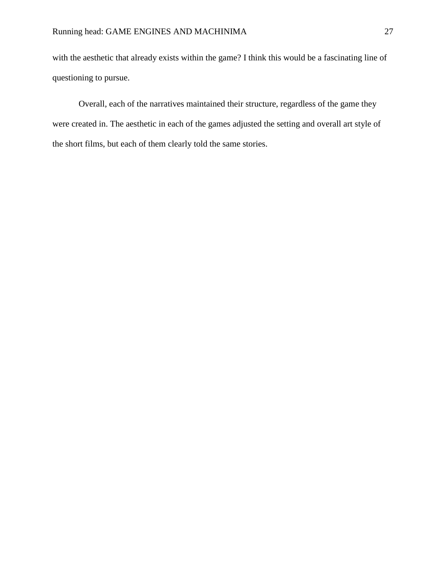with the aesthetic that already exists within the game? I think this would be a fascinating line of questioning to pursue.

Overall, each of the narratives maintained their structure, regardless of the game they were created in. The aesthetic in each of the games adjusted the setting and overall art style of the short films, but each of them clearly told the same stories.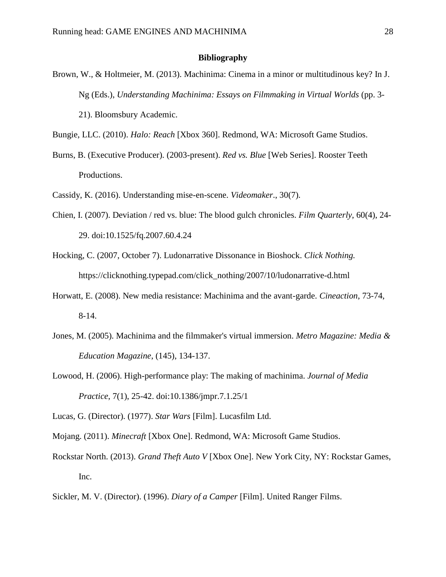#### **Bibliography**

- Brown, W., & Holtmeier, M. (2013). Machinima: Cinema in a minor or multitudinous key? In J. Ng (Eds.), *Understanding Machinima: Essays on Filmmaking in Virtual Worlds* (pp. 3- 21). Bloomsbury Academic.
- Bungie, LLC. (2010). *Halo: Reach* [Xbox 360]. Redmond, WA: Microsoft Game Studios.
- Burns, B. (Executive Producer). (2003-present). *Red vs. Blue* [Web Series]. Rooster Teeth Productions.
- Cassidy, K. (2016). Understanding mise-en-scene. *Videomaker*., 30(7).
- Chien, I. (2007). Deviation / red vs. blue: The blood gulch chronicles. *Film Quarterly*, 60(4), 24- 29. doi:10.1525/fq.2007.60.4.24
- Hocking, C. (2007, October 7). Ludonarrative Dissonance in Bioshock. *Click Nothing.* https://clicknothing.typepad.com/click\_nothing/2007/10/ludonarrative-d.html
- Horwatt, E. (2008). New media resistance: Machinima and the avant-garde. *Cineaction*, 73-74, 8-14.
- Jones, M. (2005). Machinima and the filmmaker's virtual immersion. *Metro Magazine: Media & Education Magazine*, (145), 134-137.
- Lowood, H. (2006). High-performance play: The making of machinima. *Journal of Media Practice*, 7(1), 25-42. doi:10.1386/jmpr.7.1.25/1
- Lucas, G. (Director). (1977). *Star Wars* [Film]. Lucasfilm Ltd.
- Mojang. (2011). *Minecraft* [Xbox One]. Redmond, WA: Microsoft Game Studios.
- Rockstar North. (2013). *Grand Theft Auto V* [Xbox One]. New York City, NY: Rockstar Games, Inc.
- Sickler, M. V. (Director). (1996). *Diary of a Camper* [Film]. United Ranger Films.